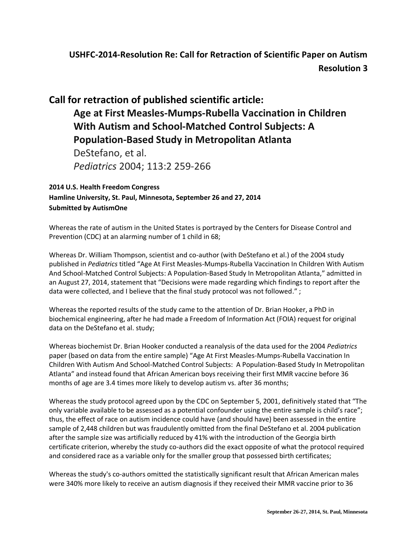## **USHFC-2014-Resolution Re: Call for Retraction of Scientific Paper on Autism Resolution 3**

## **Call for retraction of published scientific article: Age at First Measles-Mumps-Rubella Vaccination in Children With Autism and School-Matched Control Subjects: A Population-Based Study in Metropolitan Atlanta** DeStefano, et al.

*Pediatrics* 2004; 113:2 259-266

## **2014 U.S. Health Freedom Congress**

**Hamline University, St. Paul, Minnesota, September 26 and 27, 2014 Submitted by AutismOne**

Whereas the rate of autism in the United States is portrayed by the Centers for Disease Control and Prevention (CDC) at an alarming number of 1 child in 68;

Whereas Dr. William Thompson, scientist and co-author (with DeStefano et al.) of the 2004 study published in *Pediatrics* titled "Age At First Measles-Mumps-Rubella Vaccination In Children With Autism And School-Matched Control Subjects: A Population-Based Study In Metropolitan Atlanta," admitted in an August 27, 2014, statement that "Decisions were made regarding which findings to report after the data were collected, and I believe that the final study protocol was not followed.";

Whereas the reported results of the study came to the attention of Dr. Brian Hooker, a PhD in biochemical engineering, after he had made a Freedom of Information Act (FOIA) request for original data on the DeStefano et al. study;

Whereas biochemist Dr. Brian Hooker conducted a reanalysis of the data used for the 2004 *Pediatrics*  paper (based on data from the entire sample) "Age At First Measles-Mumps-Rubella Vaccination In Children With Autism And School-Matched Control Subjects: A Population-Based Study In Metropolitan Atlanta" and instead found that African American boys receiving their first MMR vaccine before 36 months of age are 3.4 times more likely to develop autism vs. after 36 months;

Whereas the study protocol agreed upon by the CDC on September 5, 2001, definitively stated that "The only variable available to be assessed as a potential confounder using the entire sample is child's race"; thus, the effect of race on autism incidence could have (and should have) been assessed in the entire sample of 2,448 children but was fraudulently omitted from the final DeStefano et al. 2004 publication after the sample size was artificially reduced by 41% with the introduction of the Georgia birth certificate criterion, whereby the study co-authors did the exact opposite of what the protocol required and considered race as a variable only for the smaller group that possessed birth certificates;

Whereas the study's co-authors omitted the statistically significant result that African American males were 340% more likely to receive an autism diagnosis if they received their MMR vaccine prior to 36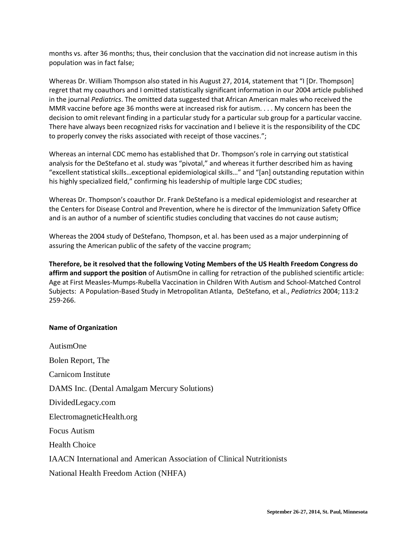months vs. after 36 months; thus, their conclusion that the vaccination did not increase autism in this population was in fact false;

Whereas Dr. William Thompson also stated in his August 27, 2014, statement that "I [Dr. Thompson] regret that my coauthors and I omitted statistically significant information in our 2004 article published in the journal *Pediatrics*. The omitted data suggested that African American males who received the MMR vaccine before age 36 months were at increased risk for autism. . . . My concern has been the decision to omit relevant finding in a particular study for a particular sub group for a particular vaccine. There have always been recognized risks for vaccination and I believe it is the responsibility of the CDC to properly convey the risks associated with receipt of those vaccines.";

Whereas an internal CDC memo has established that Dr. Thompson's role in carrying out statistical analysis for the DeStefano et al. study was "pivotal," and whereas it further described him as having "excellent statistical skills…exceptional epidemiological skills…" and "[an] outstanding reputation within his highly specialized field," confirming his leadership of multiple large CDC studies;

Whereas Dr. Thompson's coauthor Dr. Frank DeStefano is a medical epidemiologist and researcher at the Centers for Disease Control and Prevention, where he is director of the Immunization Safety Office and is an author of a number of scientific studies concluding that vaccines do not cause autism;

Whereas the 2004 study of DeStefano, Thompson, et al. has been used as a major underpinning of assuring the American public of the safety of the vaccine program;

**Therefore, be it resolved that the following Voting Members of the US Health Freedom Congress do affirm and support the position** of AutismOne in calling for retraction of the published scientific article: Age at First Measles-Mumps-Rubella Vaccination in Children With Autism and School-Matched Control Subjects: A Population-Based Study in Metropolitan Atlanta, DeStefano, et al., *Pediatrics* 2004; 113:2 259-266.

## **Name of Organization**

AutismOne Bolen Report, The Carnicom Institute DAMS Inc. (Dental Amalgam Mercury Solutions) DividedLegacy.com ElectromagneticHealth.org Focus Autism Health Choice IAACN International and American Association of Clinical Nutritionists National Health Freedom Action (NHFA)